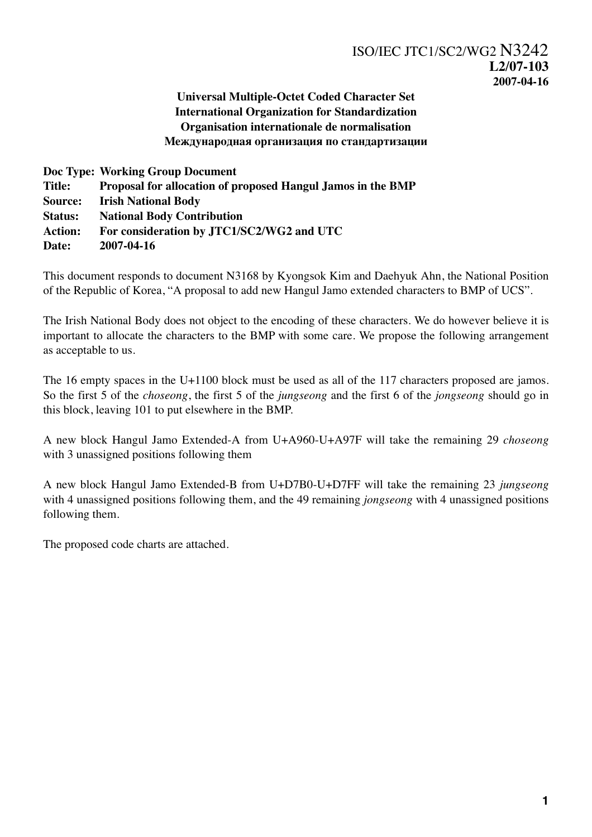## **Universal Multiple-Octet Coded Character Set International Organization for Standardization Organisation internationale de normalisation Международная организация по стандартизации**

**Doc Type: Working Group Document Title: Proposal for allocation of proposed Hangul Jamos in the BMP Source: Irish National Body Status: National Body Contribution Action: For consideration by JTC1/SC2/WG2 and UTC Date: 2007-04-16**

This document responds to document N3168 by Kyongsok Kim and Daehyuk Ahn, the National Position of the Republic of Korea, "A proposal to add new Hangul Jamo extended characters to BMP of UCS".

The Irish National Body does not object to the encoding of these characters. We do however believe it is important to allocate the characters to the BMP with some care. We propose the following arrangement as acceptable to us.

The 16 empty spaces in the U+1100 block must be used as all of the 117 characters proposed are jamos. So the first 5 of the *choseong*, the first 5 of the *jungseong* and the first 6 of the *jongseong* should go in this block, leaving 101 to put elsewhere in the BMP.

A new block Hangul Jamo Extended-A from U+A960-U+A97F will take the remaining 29 *choseong* with 3 unassigned positions following them

A new block Hangul Jamo Extended-B from U+D7B0-U+D7FF will take the remaining 23 *jungseong* with 4 unassigned positions following them, and the 49 remaining *jongseong* with 4 unassigned positions following them.

The proposed code charts are attached.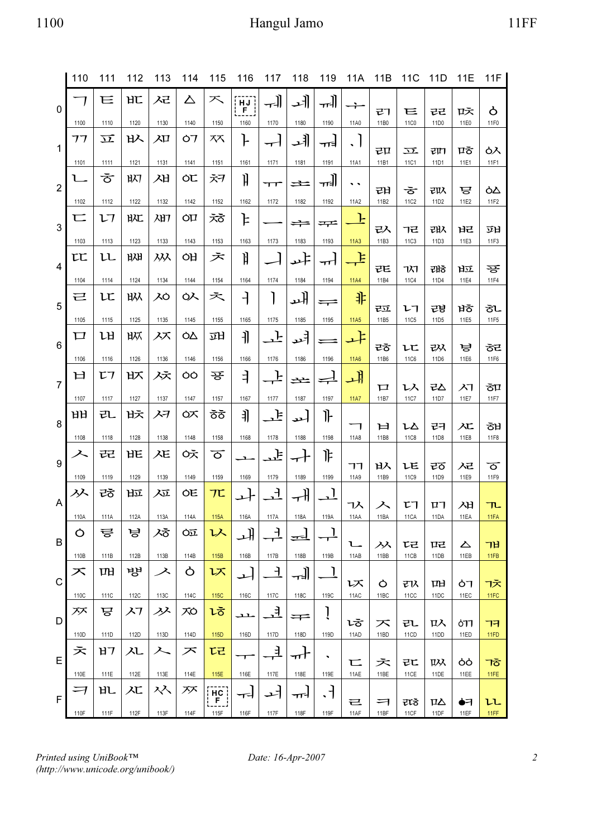## 1100 Hangul Jamo 11FF

|                | 110       | 111        | 112         | 113        | 114        | 115                                  | 116                     | 117              | 118           | 119                                    | 11A              | 11B       | 11 <sub>C</sub>   | 11D                    | 11E       | 11F         |
|----------------|-----------|------------|-------------|------------|------------|--------------------------------------|-------------------------|------------------|---------------|----------------------------------------|------------------|-----------|-------------------|------------------------|-----------|-------------|
| $\mathbf 0$    |           | Е          | HL          | スマ         | △          | 不                                    | HJ<br>$F_{\perp}$<br>ŀ. | ᅰ                | 네             | ᅰ                                      |                  | マフ        | Е                 | 근근                     | 呍         | Ò           |
|                | 1100      | 1110       | 1120        | 1130       | 1140       | 1150                                 | 1160                    | 1170             | 1180          | 1190                                   | 11A0             | 11B0      | 11C0              | 11D0                   | 11E0      | 11F0        |
| $\mathbf{1}$   | フフ        | 立          | 以           | 刀          | Ò7         | ᅑ                                    | ŀ                       | ┯┥               | ᆁ             | ना≢                                    | $\blacksquare$   | 已口        | 立                 | राम                    | ਧਨੋ       | ዕእ          |
|                | 1101      | 1111       | 1121        | 1131       | 1141       | 1151                                 | 1161                    | 1171             | 1181          | 1191                                   | 11A1             | 11B1      | 11C1              | 11D1                   | 11E1      | 11F1        |
| $\overline{2}$ | L         | ক          | 叭           | 刈          | ÒĽ         | 六ヲ                                   | ĥ                       | ᠇᠇               | 土             | ᅰ                                      | . .              | 래         | ਠ                 | 以                      | ਢ         | òΔ          |
|                | 1102      | 1112       | 1122        | 1132       | 1142       | 1152                                 | 1162                    | 1172             | 1182          | 1192                                   | 11A2             | 11B2      | 11C2              | 11D2                   | 11E2      | 11F2        |
| 3              | 匸         | レフ         | 昿           | 加          | ÒIJ        | える                                   | ╞                       |                  | $\Rightarrow$ | ᆓ                                      | F                | 入         | ヿ근                | 邔                      | ᇣ         | 劢           |
|                | 1103      | 1113       | 1123        | 1133       | 1143       | 1153                                 | 1163                    | 1173             | 1183          | 1193                                   | 11A3             | 11B3      | 11C3              | 11D3                   | 11E3      | 11F3        |
| 4              | LL        | ււ         | ᆹ           | 从          | ÒĤ         | ぇ                                    | ĥ                       |                  | ᆄ             | ᠇᠇᠊᠋                                   | F                | ᄙ         | 71                | 래ㅎ                     | 应         | 꾱           |
|                | 1104      | 1114       | 1124        | 1134       | 1144       | 1154                                 | 1164                    | 1174             | 1184          | 1194                                   | <b>11A4</b>      | 11B4      | <b>11C4</b>       | 11D4                   | 11E4      | 11F4        |
| 5              | 己         | ιc<br>1115 | 叺<br>1125   | λÒ<br>1135 | ᇱ          | 六<br>1155                            | ⊣<br>1165               | 1175             | ᅫ<br>1185     | ╤<br>1195                              | 非<br>11A5        | 亞<br>11B5 | レコ<br>11C5        | 권병<br>11D <sub>5</sub> | ਖੋਠੋ      | ぇし<br>11F5  |
|                | 1105      |            |             |            | 1145       |                                      |                         |                  |               |                                        |                  |           |                   |                        | 11E5      |             |
| 6              | □<br>1106 | ᄖ<br>1116  | ᄦ<br>1126   | 入ズ<br>1136 | ÒΔ<br>1146 | 끠<br>1156                            | 引<br>1166               | <u>」</u><br>1176 | 니<br>1186     | 1196                                   | 냐<br><b>11A6</b> | ᄙ<br>11B6 | ιr<br><b>11C6</b> | 改<br>11D6              | ਢ<br>11E6 | ਠੋਦ<br>11F6 |
|                | ロ         | Ľ7         | 以           | スえ         | OO         | 꾱                                    |                         | F                |               |                                        |                  |           |                   |                        |           |             |
| $\overline{7}$ | 1107      | 1117       | 1127        | 1137       | 1147       | 1157                                 | ╕<br>1167               | 1177             | 士<br>1187     | $\rightleftharpoons$<br>1197           | 내<br><b>11A7</b> | 口<br>11B7 | レ入<br>11C7        | もん<br>11D7             | 八<br>11E7 | ਠੋਧ<br>11F7 |
|                | ዝዘ        | 玌          | 戌           | スヲ         | ℺          | ਠੋਠੋ                                 | 引                       | 上                |               | ╟                                      |                  |           |                   |                        |           |             |
| 8              |           |            |             |            |            |                                      |                         |                  | احد           |                                        | 1                | 戸         | LΔ                | 귕                      | 冮         | ਠੋਖੋ        |
|                | 1108      | 1118       | 1128        | 1138       | 1148       | 1158                                 | 1168                    | 1178             | 1188          | 1198                                   | 11A8             | 11B8      | <b>11C8</b>       | 11D8                   | 11E8      | <b>11F8</b> |
| 9              | 入         | ᄙ          | HЕ          | λE         | うえ         | ত                                    | <b>1</b>                | ᅹ                | ᆉ             | 诈                                      | ヿヿ               | 以         | ιE                | ಕೆ                     | んこ        | ठ           |
|                | 1109      | 1119       | 1129        | 1139       | 1149       | 1159                                 | 1169                    | 1179             | 1189          | 1199                                   | 11A9             | 11B9      | <b>11C9</b>       | 11D9                   | 11E9      | 11F9        |
| A              | 入         | ᄚ          | 应           | 矼          | ÒĖ         | 7Ľ                                   | ىد                      | <u>, 구</u>       | ᆊ             | $\begin{array}{c} \square \end{array}$ | 7入               | 入         | ᄓ                 | ᄓ                      | ⁄비        | 几           |
|                | 110A      | 111A       | 112A        | 113A       | 114A       | 115A                                 | 116A                    | 117A             | 118A          | 119A                                   | 11AA             | 11BA      | 11CA              | 11DA                   | 11EA      | 11FA        |
| B              | Ò         | 륳          | ਢ           | ぶ          | Òū         | 认                                    | 내                       | 근                | <u>ᡂ</u>      | J                                      | 乚                | 从         | にこ                | ᇛ                      | ᅀ         | ᄁ           |
|                | 110B      | 111B       | 112B        | 113B       | 114B       | 115B                                 | 116B                    | 117B             | 118B          | 119B                                   | 11AB             | 11BB      | 11CB              | 11DB                   | 11EB      | 11FB        |
| C              | ズ         | ᄜ          | 방           | ス          | Ò          | レズ                                   | ᅬ                       | $\mathcal{A}$    | ᅰ             | J                                      | レズ               | Ò         | マス                | 머                      | ዕገ        | ヿえ          |
|                | 110C      | 111C       | 112C        | 113C       | 114C       | 115C                                 | 116C                    | 117C             | 118C          | 119C                                   | 11AC             | 11BC      | <b>11CC</b>       | 11DC                   | 11EC      | 11FC        |
| D              | ᅏ         | ੲ          | $\lambda$ 7 | グ          | ХÒ         | しさ                                   | حنف                     | ᅽ                | ∓             | ĺ                                      | にる               | 不         | 已                 | 叺                      | 677       | コヨ          |
|                | 110D      | 111D       | 112D        | 113D       | 114D       | 115D                                 | 116D                    | 117D             | 118D          | 119D                                   | 11AD             | 11BD      | 11CD              | 11DD                   | 11ED      | 11FD        |
| E              | え         | ロフ         | 入し          | 入          | ᅎ          | ヒミ                                   | ⊤                       | ᅾ                | ᆎ             | $\blacksquare$                         | 匸                | 六         | 已に                | 叺                      | ბბ        | ヿ゙゙゙゙゙゙゙゙゙゙ |
|                | 110E      | 111E       | 112E        | 113E       | 114E       | 115E                                 | 116E                    | 117E             | 118E          | 119E                                   | 11AE             | 11BE      | 11CE              | 11DE                   | 11EE      | 11FE        |
| $\mathsf{F}$   | ᅴ         | 癿          | <b>XL</b>   | ᄉᄉ         | ᅏ          | $\lceil$ HC $\rceil$<br><u>  F  </u> | ┯                       | ᅿ                | ᠇᠇ᡝ           | $\cdot$                                | 已                | ᅴ         | ᇏ                 | ΠΔ                     | ●न        | LL          |
|                | 110F      | 111F       | 112F        | 113F       | 114F       | 115F                                 | 116F                    | 117F             | 118F          | 119F                                   | 11AF             | 11BF      | 11CF              | 11DF                   | 11EF      | 11FF        |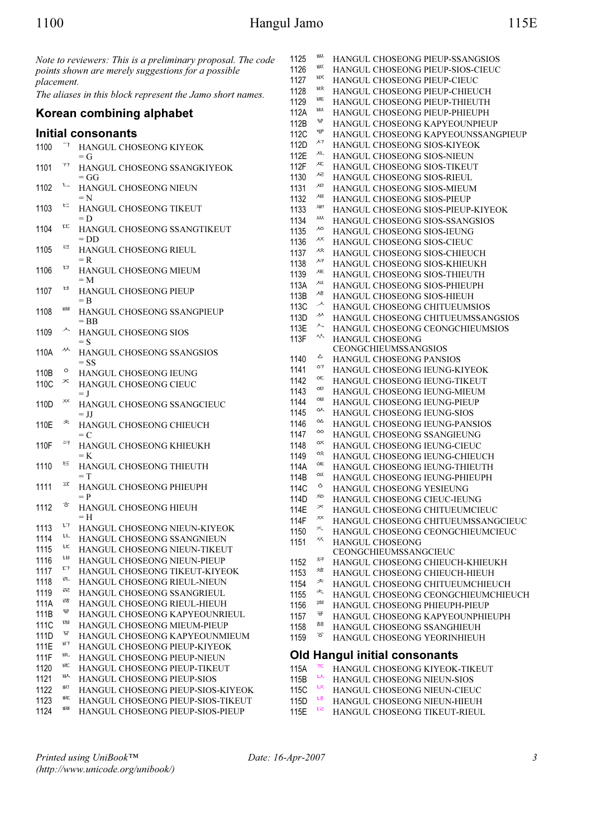|            |         | Note to reviewers: This is a preliminary proposal. The code | 1125        | ᄥ              | HANGUL CHOSEONG PIEUP-SSANGSIOS      |
|------------|---------|-------------------------------------------------------------|-------------|----------------|--------------------------------------|
|            |         | points shown are merely suggestions for a possible          | 1126        | ᄦ              | HANGUL CHOSEONG PIEUP-SIOS-CIEUC     |
| placement. |         |                                                             | 1127        | ᄧ              | HANGUL CHOSEONG PIEUP-CIEUC          |
|            |         |                                                             | 1128        | ᄨ              | HANGUL CHOSEONG PIEUP-CHIEUCH        |
|            |         | The aliases in this block represent the Jamo short names.   | 1129        | HE             | HANGUL CHOSEONG PIEUP-THIEUTH        |
|            |         | Korean combining alphabet                                   | 112A        | 匝              | HANGUL CHOSEONG PIEUP-PHIEUPH        |
|            |         |                                                             | 112B        | 능              | HANGUL CHOSEONG KAPYEOUNPIEUP        |
|            |         | Initial consonants                                          | <b>112C</b> | 뱽              |                                      |
|            |         |                                                             |             | ᄭ              | HANGUL CHOSEONG KAPYEOUNSSANGPIEUP   |
| 1100       |         | HANGUL CHOSEONG KIYEOK                                      | 112D        | ᄮ              | HANGUL CHOSEONG SIOS-KIYEOK          |
|            |         | $=G$                                                        | 112E        |                | HANGUL CHOSEONG SIOS-NIEUN           |
| 1101       | 77      | HANGUL CHOSEONG SSANGKIYEOK                                 | 112F        | ᇨ              | HANGUL CHOSEONG SIOS-TIKEUT          |
|            |         | $=GG$                                                       | 1130        | ᄰ              | HANGUL CHOSEONG SIOS-RIEUL           |
| 1102       | ┕       | HANGUL CHOSEONG NIEUN                                       | 1131        | ᄺ              | HANGUL CHOSEONG SIOS-MIEUM           |
|            |         | $= N$                                                       | 1132        | ᇪ              | HANGUL CHOSEONG SIOS-PIEUP           |
| 1103       | 匸       | HANGUL CHOSEONG TIKEUT                                      | 1133        | 깨              | HANGUL CHOSEONG SIOS-PIEUP-KIYEOK    |
|            |         | $= D$                                                       | 1134        | ᄴ              | HANGUL CHOSEONG SIOS-SSANGSIOS       |
| 1104       | τt      | HANGUL CHOSEONG SSANGTIKEUT                                 | 1135        | ᄵ              | HANGUL CHOSEONG SIOS-IEUNG           |
|            |         | $=$ DD                                                      | 1136        | ᄶ              | HANGUL CHOSEONG SIOS-CIEUC           |
| 1105       | ㄹ       | HANGUL CHOSEONG RIEUL                                       | 1137        | 冹              | HANGUL CHOSEONG SIOS-CHIEUCH         |
|            |         | $=$ R                                                       | 1138        | ᄸ              | HANGUL CHOSEONG SIOS-KHIEUKH         |
| 1106       | 口       | HANGUL CHOSEONG MIEUM                                       | 1139        | ᄹ              | HANGUL CHOSEONG SIOS-THIEUTH         |
|            |         | $=M$                                                        | 113A        | 应              | HANGUL CHOSEONG SIOS-PHIEUPH         |
| 1107       | 日       | HANGUL CHOSEONG PIEUP                                       | 113B        | ᄻ              | HANGUL CHOSEONG SIOS-HIEUH           |
|            |         | $=$ B                                                       | 113C        | ↗              |                                      |
| 1108       | ᄈ       | HANGUL CHOSEONG SSANGPIEUP                                  |             | ᄽ              | HANGUL CHOSEONG CHITUEUMSIOS         |
|            |         | $=$ BB                                                      | 113D        | ᄉ              | HANGUL CHOSEONG CHITUEUMSSANGSIOS    |
| 1109       | ᄉ       | HANGUL CHOSEONG SIOS                                        | 113E        |                | HANGUL CHOSEONG CEONGCHIEUMSIOS      |
|            |         | $=$ S                                                       | 113F        | ᄿ              | HANGUL CHOSEONG                      |
| 110A       | ᄽ       | HANGUL CHOSEONG SSANGSIOS                                   |             | △              | CEONGCHIEUMSSANGSIOS                 |
|            |         | $=$ SS                                                      | 1140        | O <sub>7</sub> | HANGUL CHOSEONG PANSIOS              |
| 110B       | $\circ$ | HANGUL CHOSEONG IEUNG                                       | 1141        | OC             | HANGUL CHOSEONG IEUNG-KIYEOK         |
| 110C       | ᄎ       | HANGUL CHOSEONG CIEUC                                       | 1142        |                | HANGUL CHOSEONG IEUNG-TIKEUT         |
|            |         | $=$ J                                                       | 1143        | ÒIJ            | HANGUL CHOSEONG IEUNG-MIEUM          |
| 110D       | ᅏ       | HANGUL CHOSEONG SSANGCIEUC                                  | 1144        | ᅄ              | HANGUL CHOSEONG IEUNG-PIEUP          |
|            |         | $=$ JJ                                                      | 1145        | ᅅ              | HANGUL CHOSEONG IEUNG-SIOS           |
| 110E       | ᄎ       | HANGUL CHOSEONG CHIEUCH                                     | 1146        | ÒΔ             | HANGUL CHOSEONG IEUNG-PANSIOS        |
|            |         | $= C$                                                       | 1147        | ÒÒ             | HANGUL CHOSEONG SSANGIEUNG           |
| 110F       | 乛       | HANGUL CHOSEONG KHIEUKH                                     | 1148        | ᅈ              | HANGUL CHOSEONG IEUNG-CIEUC          |
|            |         | $=$ K                                                       | 1149        | ᅉ              | HANGUL CHOSEONG IEUNG-CHIEUCH        |
| 1110       | ᄐ       | HANGUL CHOSEONG THIEUTH                                     | 114A        | OE             | HANGUL CHOSEONG IEUNG-THIEUTH        |
|            |         | $= T$                                                       | 114B        | 哑              | HANGUL CHOSEONG IEUNG-PHIEUPH        |
| 1111       | ᄑ       | HANGUL CHOSEONG PHIEUPH                                     | 114C        | Ò              | HANGUL CHOSEONG YESIEUNG             |
|            |         |                                                             | 114D        | ᅍ              | HANGUL CHOSEONG CIEUC-IEUNG          |
| 1112       | ㅎ       | HANGUL CHOSEONG HIEUH                                       | 114E        | ᅎ              | HANGUL CHOSEONG CHITUEUMCIEUC        |
|            |         | $=$ H                                                       | 114F        | ᅏ              | HANGUL CHOSEONG CHITUEUMSSANGCIEUC   |
| 1113       | ĻΤ      | HANGUL CHOSEONG NIEUN-KIYEOK                                | 1150        | ᄌ              | HANGUL CHOSEONG CEONGCHIEUMCIEUC     |
| 1114       | u       | HANGUL CHOSEONG SSANGNIEUN                                  | 1151        | ᅑ              | <b>HANGUL CHOSEONG</b>               |
| 1115       | u       | HANGUL CHOSEONG NIEUN-TIKEUT                                |             |                | CEONGCHIEUMSSANGCIEUC                |
| 1116       | ᄖ       | HANGUL CHOSEONG NIEUN-PIEUP                                 | 1152        | ᅒ              | HANGUL CHOSEONG CHIEUCH-KHIEUKH      |
| 1117       | τ7      | HANGUL CHOSEONG TIKEUT-KIYEOK                               | 1153        | 茄              | HANGUL CHOSEONG CHIEUCH-HIEUH        |
| 1118       | 玌       | HANGUL CHOSEONG RIEUL-NIEUN                                 | 1154        | ᅔ              | HANGUL CHOSEONG CHITUEUMCHIEUCH      |
| 1119       | ᄙ       | HANGUL CHOSEONG SSANGRIEUL                                  | 1155        | ᄎ              |                                      |
| 111A       | ಕೆ      | HANGUL CHOSEONG RIEUL-HIEUH                                 | 1156        | 퍠              | HANGUL CHOSEONG CEONGCHIEUMCHIEUCH   |
| 111B       | 륳       | HANGUL CHOSEONG KAPYEOUNRIEUL                               |             | ਝ              | HANGUL CHOSEONG PHIEUPH-PIEUP        |
| 111C       | ᄜ       | HANGUL CHOSEONG MIEUM-PIEUP                                 | 1157        | ਠੋਠੋ           | HANGUL CHOSEONG KAPYEOUNPHIEUPH      |
|            | ᇦ       |                                                             | 1158        |                | HANGUL CHOSEONG SSANGHIEUH           |
| 111D       | ษา      | HANGUL CHOSEONG KAPYEOUNMIEUM                               | 1159        | ত              | HANGUL CHOSEONG YEORINHIEUH          |
| 111E       | 癿       | HANGUL CHOSEONG PIEUP-KIYEOK                                |             |                | <b>Old Hangul initial consonants</b> |
| 111F       | ᄠ       | HANGUL CHOSEONG PIEUP-NIEUN                                 |             |                |                                      |
| 1120       | 叺       | HANGUL CHOSEONG PIEUP-TIKEUT                                | 115A        | 7C             | HANGUL CHOSEONG KIYEOK-TIKEUT        |
| 1121       |         | HANGUL CHOSEONG PIEUP-SIOS                                  | 115B        | 以              | HANGUL CHOSEONG NIEUN-SIOS           |
| 1122       | ᄢ       | HANGUL CHOSEONG PIEUP-SIOS-KIYEOK                           | 115C        | ᆬ              | HANGUL CHOSEONG NIEUN-CIEUC          |
| 1123       | 昿       | HANGUL CHOSEONG PIEUP-SIOS-TIKEUT                           | 115D        | ιõ             | HANGUL CHOSEONG NIEUN-HIEUH          |
| 1124       | ᄡ       | HANGUL CHOSEONG PIEUP-SIOS-PIEUP                            | 115E        | τg             | HANGUL CHOSEONG TIKEUT-RIEUL         |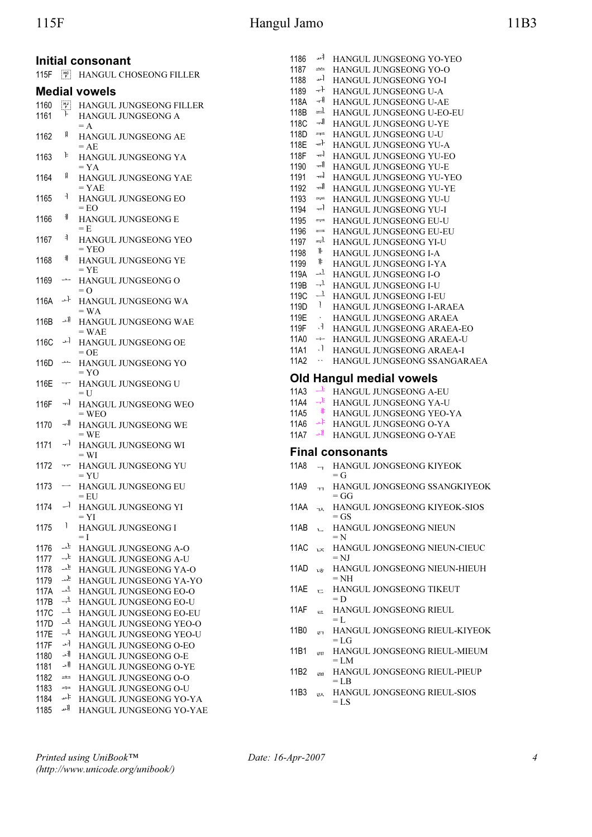# 115F Hangul Jamo 11B3

|              |                                                                    | Initial consonant                                    | 1186         |                          | HANGUL JUNGSEONG YO-YEO                                  |
|--------------|--------------------------------------------------------------------|------------------------------------------------------|--------------|--------------------------|----------------------------------------------------------|
| 115F         |                                                                    | HANGUL CHOSEONG FILLER                               | 1187<br>1188 | ڪت                       | HANGUL JUNGSEONG YO-O<br>HANGUL JUNGSEONG YO-I           |
|              |                                                                    |                                                      | 1189         |                          | $\rightarrow$ HANGUL JUNGSEONG U-A                       |
|              |                                                                    | <b>Medial vowels</b>                                 | 118A         | ᆊ                        | HANGUL JUNGSEONG U-AE                                    |
| 1160         | $\begin{bmatrix} \mathbf{H} \mathbf{J} \ \mathbf{F} \end{bmatrix}$ | HANGUL JUNGSEONG FILLER                              | 118B         |                          | ᆋ HANGUL JUNGSEONG U-EO-EU                               |
| 1161         | ŀ                                                                  | HANGUL JUNGSEONG A                                   | 118C         |                          | THE HANGUL JUNGSEONG U-YE                                |
| 1162         | H                                                                  | $= A$                                                | 118D         |                          | $\equiv$ HANGUL JUNGSEONG U-U                            |
|              |                                                                    | HANGUL JUNGSEONG AE<br>$=AE$                         | 118E         |                          | + HANGUL JUNGSEONG YU-A                                  |
| 1163         | Þ                                                                  | HANGUL JUNGSEONG YA                                  | 118F         |                          | THE HANGUL JUNGSEONG YU-EO                               |
|              |                                                                    | $= YA$                                               | 1190         |                          | THE HANGUL JUNGSEONG YU-E                                |
| 1164         | Ħ                                                                  | HANGUL JUNGSEONG YAE                                 | 1191         | ᆊ                        | HANGUL JUNGSEONG YU-YEO                                  |
|              |                                                                    | $= YAE$                                              | 1192         | ᅰ                        | HANGUL JUNGSEONG YU-YE                                   |
| 1165         | ₹.                                                                 | HANGUL JUNGSEONG EO                                  | 1193         | $\frac{1}{2}$            | HANGUL JUNGSEONG YU-U                                    |
|              |                                                                    | $=$ EO                                               | 1194         |                          | THE HANGUL JUNGSEONG YU-I                                |
| 1166         | FF.                                                                | HANGUL JUNGSEONG E                                   | 1195         | ᆕ                        | HANGUL JUNGSEONG EU-U                                    |
|              |                                                                    | $=$ E                                                | 1196         |                          | = HANGUL JUNGSEONG EU-EU                                 |
| 1167         | ╡                                                                  | HANGUL JUNGSEONG YEO                                 | 1197         |                          | $\rightleftharpoons$ HANGUL JUNGSEONG YI-U               |
|              | 非                                                                  | $=$ YEO                                              | 1198         | $\mathbb{I}$             | HANGUL JUNGSEONG I-A                                     |
| 1168         |                                                                    | HANGUL JUNGSEONG YE<br>$= YE$                        | 1199         | ╠                        | HANGUL JUNGSEONG I-YA                                    |
| 1169         | $\overline{\phantom{a}}$                                           | HANGUL JUNGSEONG O                                   | 119A         |                          | <sup>-1</sup> HANGUL JUNGSEONG I-O                       |
|              |                                                                    | $= 0$                                                | 119B         | $\overline{+}$           | <b>HANGUL JUNGSEONG I-U</b>                              |
| 116A         | ᅪ                                                                  | HANGUL JUNGSEONG WA                                  | 119C         | $\perp$                  | HANGUL JUNGSEONG I-EU                                    |
|              |                                                                    | $= WA$                                               | 119D         | $\mathbf{I}$             | HANGUL JUNGSEONG I-ARAEA                                 |
| 116B         | ᅫ                                                                  | HANGUL JUNGSEONG WAE                                 | 119E         | $\sim$                   | HANGUL JUNGSEONG ARAEA                                   |
|              |                                                                    | $=$ WAE                                              | 119F         | .1                       | HANGUL JUNGSEONG ARAEA-EO                                |
| 116C         | ᅿ                                                                  | HANGUL JUNGSEONG OE                                  | 11A0         |                          | → HANGUL JUNGSEONG ARAEA-U                               |
|              |                                                                    | $=$ OE                                               | 11A1         | $\cdot$                  | HANGUL JUNGSEONG ARAEA-I                                 |
| 116D         | مقف                                                                | HANGUL JUNGSEONG YO                                  | 11A2         | $\ddot{\phantom{0}}$     | HANGUL JUNGSEONG SSANGARAEA                              |
| 116E         | $\overline{\phantom{m}}$                                           | $= YO$<br>HANGUL JUNGSEONG U                         |              |                          | <b>Old Hangul medial vowels</b>                          |
|              |                                                                    | $=$ U                                                | 11A3         |                          | $\overrightarrow{v}$ HANGUL JUNGSEONG A-EU               |
| 116F         | ᅯ                                                                  | HANGUL JUNGSEONG WEO                                 | 11A4         |                          | $\overline{f}$ HANGUL JUNGSEONG YA-U                     |
|              |                                                                    | $=$ WEO                                              | 11A5         | 非                        | HANGUL JUNGSEONG YEO-YA                                  |
| 1170         | ᅰ                                                                  | HANGUL JUNGSEONG WE                                  | 11A6         |                          | + HANGUL JUNGSEONG O-YA                                  |
|              |                                                                    | $= WE$                                               | 11A7         |                          | <b>HANGUL JUNGSEONG O-YAE</b>                            |
| 1171         | ᅱ                                                                  | HANGUL JUNGSEONG WI                                  |              |                          | <b>Final consonants</b>                                  |
| 1172         | $\tau\tau$                                                         | $= WI$<br>HANGUL JUNGSEONG YU                        | 11A8         | $\overline{\phantom{0}}$ | HANGUL JONGSEONG KIYEOK                                  |
|              |                                                                    | $= YU$                                               |              |                          | $= G$                                                    |
| 1173         | $\overline{\phantom{m}}$                                           | HANGUL JUNGSEONG EU                                  | 11A9         | <b>TT</b>                | HANGUL JONGSEONG SSANGKIYEOK                             |
|              |                                                                    | = EU                                                 |              |                          | = GG                                                     |
| 1174         |                                                                    | $-$ HANGUL JUNGSEONG YI<br>$= YI$                    |              |                          | 11AA <sub>7</sub> HANGUL JONGSEONG KIYEOK-SIOS<br>$=$ GS |
| 1175         | Τ.                                                                 | HANGUL JUNGSEONG I                                   | 11AB         | $\mathbf{L}$             | HANGUL JONGSEONG NIEUN                                   |
|              |                                                                    | $=$ $\overline{1}$                                   |              |                          | $=N$                                                     |
| 1176         | ᅸ                                                                  | <b>HANGUL JUNGSEONG A-O</b>                          | 11AC         | $\nu \bar{\lambda}$      | HANGUL JONGSEONG NIEUN-CIEUC                             |
| 1177         | ᆤ                                                                  | HANGUL JUNGSEONG A-U                                 |              |                          | $=$ NJ                                                   |
| 1178         | ᅸ                                                                  | <b>HANGUL JUNGSEONG YA-O</b>                         | 11AD         | しき                       | HANGUL JONGSEONG NIEUN-HIEUH                             |
| 1179         | ᅸ                                                                  | HANGUL JUNGSEONG YA-YO                               |              |                          | $=$ NH                                                   |
| 117A         | ᅺ                                                                  | HANGUL JUNGSEONG EO-O                                | 11AE         | 亡                        | HANGUL JONGSEONG TIKEUT                                  |
| 117B         | $\rightarrow$                                                      | HANGUL JUNGSEONG EO-U                                |              |                          | $= D$                                                    |
| 117C         | ᅼ                                                                  | HANGUL JUNGSEONG EO-EU                               | 11AF         | $\overline{a}$           | HANGUL JONGSEONG RIEUL<br>$=$ L                          |
| 117D         | ᅽ                                                                  | HANGUL JUNGSEONG YEO-O                               | 11B0         |                          | HANGUL JONGSEONG RIEUL-KIYEOK                            |
| 117E         | ᅾ                                                                  | HANGUL JUNGSEONG YEO-U                               |              | ਦਾ                       | $=$ LG                                                   |
| 117F         | ᅿ                                                                  | HANGUL JUNGSEONG O-EO                                | 11B1         | E <sub>II</sub>          | HANGUL JONGSEONG RIEUL-MIEUM                             |
| 1180         | ᆀ                                                                  | HANGUL JUNGSEONG O-E                                 |              |                          | $= LM$                                                   |
| 1181         | ᆁ                                                                  | HANGUL JUNGSEONG O-YE                                | 11B2         | ਦਖ਼                      | HANGUL JONGSEONG RIEUL-PIEUP                             |
| 1182         | $\Rightarrow$                                                      | HANGUL JUNGSEONG O-O                                 |              |                          | $=$ LB                                                   |
| 1183         | ≑                                                                  | HANGUL JUNGSEONG O-U                                 | 11B3         | $\overline{z}$           | HANGUL JONGSEONG RIEUL-SIOS                              |
| 1184<br>1185 | ᅫ                                                                  | ** HANGUL JUNGSEONG YO-YA<br>HANGUL JUNGSEONG YO-YAE |              |                          | $=$ LS                                                   |
|              |                                                                    |                                                      |              |                          |                                                          |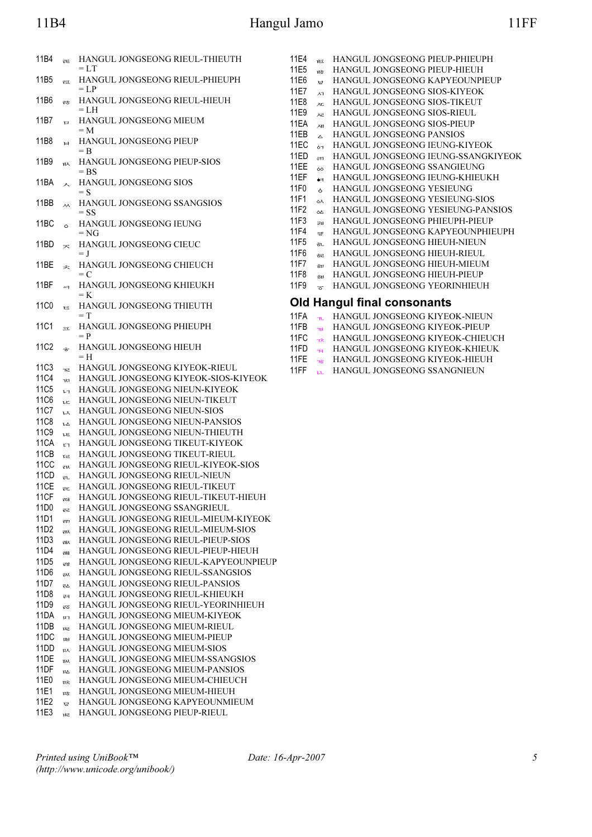# 11B4 Hangul Jamo

|--|

| 11B4                | EE.                     | HANGUL JONGSEONG RIEUL-THIEUTH                                     | 11E4         | 哑                                         | HANGUL JONGSEONG PIEUP-PHIEUPH                                      |
|---------------------|-------------------------|--------------------------------------------------------------------|--------------|-------------------------------------------|---------------------------------------------------------------------|
| 11B <sub>5</sub>    | 료                       | $= L T$<br>HANGUL JONGSEONG RIEUL-PHIEUPH                          | 11E5<br>11E6 | ਮੇਨੋ<br>ਸ਼੍ਰੇ                             | HANGUL JONGSEONG PIEUP-HIEUH<br>HANGUL JONGSEONG KAPYEOUNPIEUP      |
|                     |                         | $=$ $LP$                                                           | 11E7         | $\lambda$                                 | HANGUL JONGSEONG SIOS-KIYEOK                                        |
| 11B6                | ਦਨੋ                     | HANGUL JONGSEONG RIEUL-HIEUH                                       | 11E8         | $\lambda E$                               | HANGUL JONGSEONG SIOS-TIKEUT                                        |
|                     |                         | $= LH$                                                             | 11E9         | ᇩ                                         | HANGUL JONGSEONG SIOS-RIEUL                                         |
| 11B7                | $\Box$                  | HANGUL JONGSEONG MIEUM<br>$=M$                                     | 11EA         | ᇪ                                         | HANGUL JONGSEONG SIOS-PIEUP                                         |
| 11B8                | $\mathbf{H}$            | HANGUL JONGSEONG PIEUP                                             | 11EB         | $\Delta$                                  | HANGUL JONGSEONG PANSIOS                                            |
|                     |                         | $=$ B                                                              | 11EC<br>11ED | 67                                        | HANGUL JONGSEONG IEUNG-KIYEOK<br>HANGUL JONGSEONG IEUNG-SSANGKIYEOK |
| 11B9                | <sub>ዝ</sub> ኢ          | HANGUL JONGSEONG PIEUP-SIOS                                        | 11EE         | 6T1<br>òò                                 | HANGUL JONGSEONG SSANGIEUNG                                         |
|                     |                         | $=$ BS                                                             | 11EF         | $\bullet$                                 | HANGUL JONGSEONG IEUNG-KHIEUKH                                      |
| 11BA                | $\lambda$               | HANGUL JONGSEONG SIOS<br>$=$ S                                     | 11F0         | $\delta$                                  | HANGUL JONGSEONG YESIEUNG                                           |
| 11BB                | ᆻ                       | HANGUL JONGSEONG SSANGSIOS                                         | 11F1         | ልአ                                        | HANGUL JONGSEONG YESIEUNG-SIOS                                      |
|                     |                         | $=$ SS                                                             | 11F2         | òΔ                                        | HANGUL JONGSEONG YESIEUNG-PANSIOS                                   |
| 11BC                | $\circ$                 | HANGUL JONGSEONG IEUNG                                             | 11F3         | $\overline{v}$ H                          | HANGUL JONGSEONG PHIEUPH-PIEUP                                      |
|                     |                         | $= NG$                                                             | 11F4         | 琴                                         | HANGUL JONGSEONG KAPYEOUNPHIEUPH                                    |
| 11BD                | $\overline{\mathbf{X}}$ | HANGUL JONGSEONG CIEUC                                             | 11F5<br>11F6 | ðι.                                       | HANGUL JONGSEONG HIEUH-NIEUN                                        |
| 11BE                |                         | $=$ J                                                              | 11F7         | ਣੋਵ                                       | HANGUL JONGSEONG HIEUH-RIEUL<br>HANGUL JONGSEONG HIEUH-MIEUM        |
|                     | 夫                       | HANGUL JONGSEONG CHIEUCH<br>$= C$                                  | 11F8         | ਠੋਧ<br>ੱਖੋ                                | HANGUL JONGSEONG HIEUH-PIEUP                                        |
| 11BF                | $\blacksquare$          | HANGUL JONGSEONG KHIEUKH                                           | 11F9         | $\overline{\sigma}$                       | HANGUL JONGSEONG YEORINHIEUH                                        |
|                     |                         | $=$ K                                                              |              |                                           |                                                                     |
| 11 <sub>C0</sub>    | $\equiv$                | HANGUL JONGSEONG THIEUTH                                           |              |                                           | <b>Old Hangul final consonants</b>                                  |
|                     |                         | $= T$                                                              | 11FA         | $\mathbf{m}$ .                            | HANGUL JONGSEONG KIYEOK-NIEUN                                       |
| 11C1                | $\overline{\mathbf{X}}$ | HANGUL JONGSEONG PHIEUPH<br>$= P$                                  | 11FB         | n <sub>H</sub>                            | HANGUL JONGSEONG KIYEOK-PIEUP                                       |
| 11C2                | $\dot{\sigma}$          | HANGUL JONGSEONG HIEUH                                             | 11FC<br>11FD | $\overline{\mathbf{x}}$                   | HANGUL JONGSEONG KIYEOK-CHIEUCH<br>HANGUL JONGSEONG KIYEOK-KHIEUK   |
|                     |                         | $=$ H                                                              | 11FE         | $\overline{1}$<br>$\overline{\mathbf{r}}$ | HANGUL JONGSEONG KIYEOK-HIEUH                                       |
| <b>11C3</b>         | TE.                     | HANGUL JONGSEONG KIYEOK-RIEUL                                      | 11FF         | u                                         | HANGUL JONGSEONG SSANGNIEUN                                         |
| <b>11C4</b>         | $\n  W$                 | HANGUL JONGSEONG KIYEOK-SIOS-KIYEOK                                |              |                                           |                                                                     |
| <b>11C5</b>         | $\mathbf{L}$            | HANGUL JONGSEONG NIEUN-KIYEOK                                      |              |                                           |                                                                     |
| <b>11C6</b>         | ιc                      | HANGUL JONGSEONG NIEUN-TIKEUT                                      |              |                                           |                                                                     |
| 11C7                | ιx                      | HANGUL JONGSEONG NIEUN-SIOS                                        |              |                                           |                                                                     |
| <b>11C8</b>         | ιΔ                      | HANGUL JONGSEONG NIEUN-PANSIOS                                     |              |                                           |                                                                     |
| <b>11C9</b><br>11CA | ιE                      | HANGUL JONGSEONG NIEUN-THIEUTH                                     |              |                                           |                                                                     |
| 11CB                | E1                      | HANGUL JONGSEONG TIKEUT-KIYEOK<br>HANGUL JONGSEONG TIKEUT-RIEUL    |              |                                           |                                                                     |
| 11CC                | $\mathfrak{r}$<br>₹R    | HANGUL JONGSEONG RIEUL-KIYEOK-SIOS                                 |              |                                           |                                                                     |
| 11CD                | $\overline{z}$          | HANGUL JONGSEONG RIEUL-NIEUN                                       |              |                                           |                                                                     |
| 11CE                | ₹c                      | HANGUL JONGSEONG RIEUL-TIKEUT                                      |              |                                           |                                                                     |
| 11CF                | えびる                     | HANGUL JONGSEONG RIEUL-TIKEUT-HIEUH                                |              |                                           |                                                                     |
| 11D0                | ਦਦ                      | HANGUL JONGSEONG SSANGRIEUL                                        |              |                                           |                                                                     |
| 11D1                | राग                     | HANGUL JONGSEONG RIEUL-MIEUM-KIYEOK                                |              |                                           |                                                                     |
| 11D2                | <b>FILX</b>             | HANGUL JONGSEONG RIEUL-MIEUM-SIOS                                  |              |                                           |                                                                     |
| 11D3                | ᇓ                       | HANGUL JONGSEONG RIEUL-PIEUP-SIOS                                  |              |                                           |                                                                     |
| 11D4                | 괣충                      | HANGUL JONGSEONG RIEUL-PIEUP-HIEUH                                 |              |                                           |                                                                     |
| 11D <sub>5</sub>    | ਦੁਝ                     | HANGUL JONGSEONG RIEUL-KAPYEOUNPIEUP                               |              |                                           |                                                                     |
| 11D6                | $\overline{v}$          | HANGUL JONGSEONG RIEUL-SSANGSIOS<br>HANGUL JONGSEONG RIEUL-PANSIOS |              |                                           |                                                                     |
| 11D7<br>11D8        |                         |                                                                    |              |                                           |                                                                     |
|                     | $E_{\Delta}$            |                                                                    |              |                                           |                                                                     |
|                     | ᇘ                       | HANGUL JONGSEONG RIEUL-KHIEUKH                                     |              |                                           |                                                                     |
| 11D9                | ਦਨ                      | HANGUL JONGSEONG RIEUL-YEORINHIEUH                                 |              |                                           |                                                                     |
| 11DA                | $\overline{u}$          | HANGUL JONGSEONG MIEUM-KIYEOK                                      |              |                                           |                                                                     |
| 11DB<br>11DC        | πz<br>$\mathbf{m}$      | HANGUL JONGSEONG MIEUM-RIEUL<br>HANGUL JONGSEONG MIEUM-PIEUP       |              |                                           |                                                                     |
| 11DD                | ᇝ                       | HANGUL JONGSEONG MIEUM-SIOS                                        |              |                                           |                                                                     |
| 11DE                | $\mathbf{w}$            | HANGUL JONGSEONG MIEUM-SSANGSIOS                                   |              |                                           |                                                                     |
| 11DF                | ΠΔ                      | HANGUL JONGSEONG MIEUM-PANSIOS                                     |              |                                           |                                                                     |
| 11E0                | 마.                      | HANGUL JONGSEONG MIEUM-CHIEUCH                                     |              |                                           |                                                                     |
| 11E1                | $\vec{u}$ ਨੇ            | HANGUL JONGSEONG MIEUM-HIEUH                                       |              |                                           |                                                                     |
| 11E2<br>11E3        | ਢ<br>ਮਦ                 | HANGUL JONGSEONG KAPYEOUNMIEUM<br>HANGUL JONGSEONG PIEUP-RIEUL     |              |                                           |                                                                     |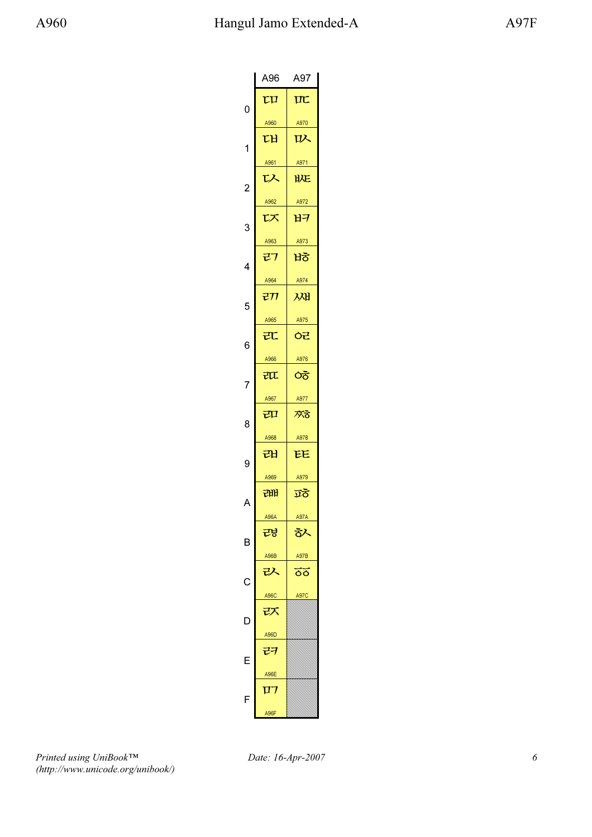|                | A96       | A97                                       |
|----------------|-----------|-------------------------------------------|
| 0              | τu        | $\overline{\mathbf{u}}$                   |
|                | A960      | A970                                      |
| 1              | ГH        | 叺                                         |
|                | A961      | A971                                      |
| $\overline{c}$ | ひ         | <b>HYE</b>                                |
|                | A962      | A972                                      |
| 3              | 以         | ロングス せいしょう せいしょう はんしゃく はんしゃく しゅうしょう せいしゅう |
|                | A963      | A973                                      |
| 4              | マフ        | ਖੋਠੋ                                      |
|                | A964      | A974                                      |
| 5              | रा        | 邲                                         |
|                | A965      | A975                                      |
| 6              | 元         | ᅌ๋                                        |
|                | A966      | A976                                      |
| 7              | 江         | ੇਨੋ                                       |
|                | A967      | A977                                      |
| 8              | 口         | 欢る                                        |
|                | A968      | A978                                      |
| 9              | 래         | EE                                        |
|                | A969      | A979                                      |
| A              | 래<br>A96A | ত্ৰত<br><b>A97A</b>                       |
|                |           |                                           |
| B              | 려<br>A96B | る入<br><b>A97B</b>                         |
|                | 1χ        | ōō                                        |
| С              | A96C      | 497C                                      |
|                | マス        |                                           |
|                | A96D      |                                           |
| Ē              | ココ        |                                           |
|                | A96E      |                                           |
| F              | 17        |                                           |
|                | A96F      |                                           |

Printed using UniBook™ (http://www.unicode.org/unibook/)

Date: 16-Apr-2007 6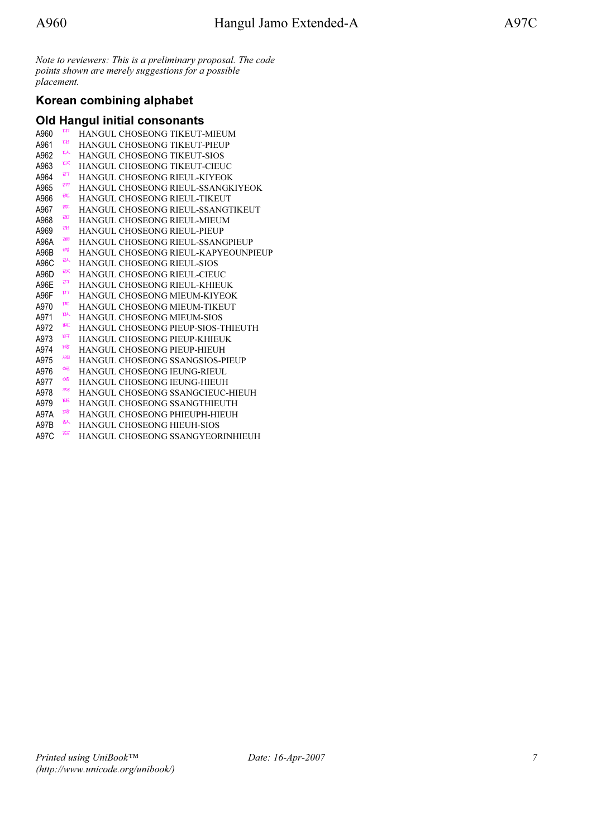Note to reviewers: This is a preliminary proposal. The code points shown are merely suggestions for a possible placement.

## Korean combining alphabet

### Old Hangul initial consonants

| A960 | τu   | <b>HANGUL CHOSEONG TIKEUT-MIEUM</b>    |
|------|------|----------------------------------------|
| A961 | ᄜ    | <b>HANGUL CHOSEONG TIKEUT-PIEUP</b>    |
| A962 | ᇇ    | <b>HANGUL CHOSEONG TIKEUT-SIOS</b>     |
| A963 | ᆬ    | <b>HANGUL CHOSEONG TIKEUT-CIEUC</b>    |
| A964 | ゼフ   | HANGUL CHOSEONG RIEUL-KIYEOK           |
| A965 | रπ   | HANGUL CHOSEONG RIEUL-SSANGKIYEOK      |
| A966 | 讧    | HANGUL CHOSEONG RIEUL-TIKEUT           |
| A967 | राा  | HANGUL CHOSEONG RIEUL-SSANGTIKEUT      |
| A968 | 司    | HANGUL CHOSEONG RIEUL-MIEUM            |
| A969 | ᆲ    | <b>HANGUL CHOSEONG RIEUL-PIEUP</b>     |
| A96A | रभा  | HANGUL CHOSEONG RIEUL-SSANGPIEUP       |
| A96B | 魂    | HANGUL CHOSEONG RIEUL-KAPYEOUNPIEUP    |
| A96C | ᆳ    | <b>HANGUL CHOSEONG RIEUL-SIOS</b>      |
| A96D | 云    | HANGUL CHOSEONG RIEUL-CIEUC            |
| A96E | 己ヲ   | HANGUL CHOSEONG RIEUL-KHIEUK           |
| A96F | 117  | HANGUL CHOSEONG MIEUM-KIYEOK           |
| A970 | ŢΓC  | <b>HANGUL CHOSEONG MIEUM-TIKEUT</b>    |
| A971 | ᇝ    | <b>HANGUL CHOSEONG MIEUM-SIOS</b>      |
| A972 | 昵    | HANGUL CHOSEONG PIEUP-SIOS-THIEUTH     |
| A973 | 田子   | HANGUL CHOSEONG PIEUP-KHIEUK           |
| A974 | ਮੋਠੋ | HANGUL CHOSEONG PIEUP-HIEUH            |
| A975 | 观    | <b>HANGUL CHOSEONG SSANGSIOS-PIEUP</b> |
| A976 | ᇛ    | HANGUL CHOSEONG IEUNG-RIEUL            |
| A977 | ೦ಕ   | HANGUL CHOSEONG IEUNG-HIEUH            |
| A978 | 欢る   | HANGUL CHOSEONG SSANGCIEUC-HIEUH       |
| A979 | EE   | HANGUL CHOSEONG SSANGTHIEUTH           |
| A97A | ਹਨੋ  | HANGUL CHOSEONG PHIEUPH-HIEUH          |
| A97B | 氷    | HANGUL CHOSEONG HIEUH-SIOS             |
| A97C | ठॅठ  | HANGUL CHOSEONG SSANGYEORINHIEUH       |
|      |      |                                        |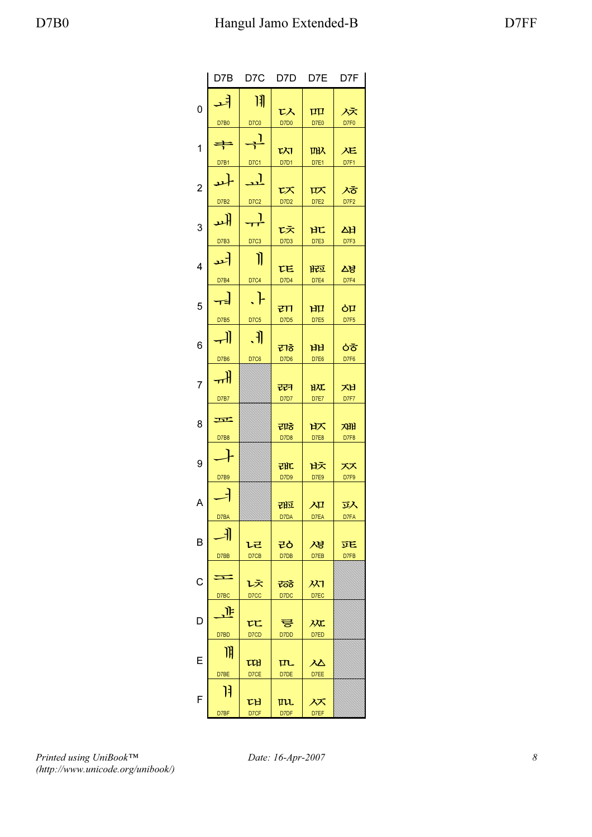|                | D7B           | D7C         | D7D          | D7E          | D7F       |
|----------------|---------------|-------------|--------------|--------------|-----------|
| 0              | ᅿ             | 川           | レ入           | $\mathbf{H}$ | 冹         |
|                | D7B0          | D7C0        | <b>D7D0</b>  | D7E0         | D7F0      |
| 1              | $\Rightarrow$ | ᆛ           | <b>TXT</b>   | 叫入           | 疋         |
|                | D7B1          | D7C1        | D7D1         | D7E1         | D7F1      |
| $\overline{c}$ | ᅪ             | <u>. J</u>  | 以            | 叹            | ぶ         |
|                | <b>D7B2</b>   | D7C2        | D7D2         | D7E2         | D7F2      |
| 3              | 놰             | ᆛ           | 戉            | HL           | ᄊ         |
|                | D7B3          | D7C3        | D7D3         | D7E3         | D7F3      |
| 4              | ᅿ             | 11          | <b>TE</b>    | 版            | 24        |
|                | D7B4          | D7C4        | D7D4         | D7E4         | D7F4      |
| 5              | ᆸ             | $\Box$      | टाा          | 凹            | òП        |
|                | <b>D7B5</b>   | D7C5        | <b>D7D5</b>  | D7E5         | D7F5      |
| 6              | -11           | े. भी       | ₹ाठे         | ਮੋਮੋ         | おお        |
|                | D7B6          | <b>D7C6</b> | D7D6         | D7E6         | D7F6      |
| 7              | ᆊ             |             | च्छन         | HXL          | 지         |
|                | D7B7          |             | D7D7         | D7E7         | D7F7      |
| 8              | 示<br>D7B8     |             | राह<br>D7D8  | 认<br>D7E8    | 재<br>D7F8 |
|                |               |             |              |              |           |
| 9              |               |             | 래            | 吠            | スズ        |
|                | D7B9          |             | D7D9         | D7E9         | D7F9      |
| A              |               |             | 词            | 冲            | 环         |
|                | D7BA          |             | D7DA         | D7EA         | D7FA      |
| B              | F             | レ己          | そう           | 겨냥           | 匹         |
|                | D7BB          | D7CB        | D7DB         | D7EB         | D7FB      |
| C              | Ξ             |             |              |              |           |
|                | D7BC          | レえ<br>D7CC  | ಕೆಂಕ<br>D7DC | 从<br>D7EC    |           |
|                | JF.           |             |              |              |           |
| D              | D7BD          | τc<br>D7CD  | 륳<br>D7DD    | 欢<br>D7ED    |           |
|                | 阴             |             |              |              |           |
| E              |               | 吅           | 叿            | <u>λΔ</u>    |           |
|                | D7BE          | D7CE        | D7DE         | D7EE         |           |
| F              | 13            | ᄜ           | μu.          | ᄶ            |           |
|                | D7BF          | D7CF        | D7DF         | D7EF         |           |

Printed using UniBook™ (http://www.unicode.org/unibook/)